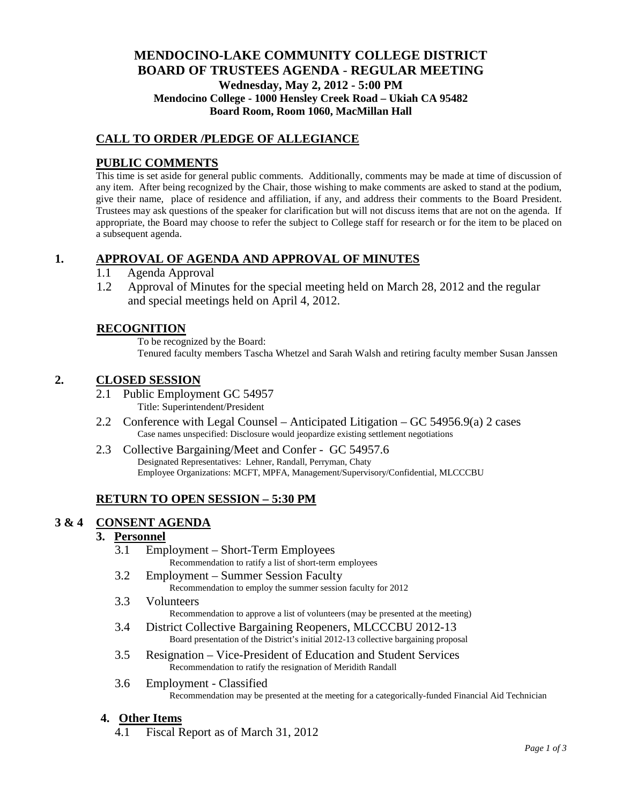# **MENDOCINO-LAKE COMMUNITY COLLEGE DISTRICT BOARD OF TRUSTEES AGENDA** - **REGULAR MEETING Wednesday, May 2, 2012 - 5:00 PM Mendocino College - 1000 Hensley Creek Road – Ukiah CA 95482 Board Room, Room 1060, MacMillan Hall**

# **CALL TO ORDER /PLEDGE OF ALLEGIANCE**

# **PUBLIC COMMENTS**

This time is set aside for general public comments. Additionally, comments may be made at time of discussion of any item. After being recognized by the Chair, those wishing to make comments are asked to stand at the podium, give their name, place of residence and affiliation, if any, and address their comments to the Board President. Trustees may ask questions of the speaker for clarification but will not discuss items that are not on the agenda. If appropriate, the Board may choose to refer the subject to College staff for research or for the item to be placed on a subsequent agenda.

## **1. APPROVAL OF AGENDA AND APPROVAL OF MINUTES**

- 1.1 Agenda Approval
- 1.2 Approval of Minutes for the special meeting held on March 28, 2012 and the regular and special meetings held on April 4, 2012.

## **RECOGNITION**

To be recognized by the Board: Tenured faculty members Tascha Whetzel and Sarah Walsh and retiring faculty member Susan Janssen

## **2. CLOSED SESSION**

- 2.1 Public Employment GC 54957 Title: Superintendent/President
- 2.2 Conference with Legal Counsel Anticipated Litigation GC 54956.9(a) 2 cases Case names unspecified: Disclosure would jeopardize existing settlement negotiations
- 2.3 Collective Bargaining/Meet and Confer GC 54957.6 Designated Representatives: Lehner, Randall, Perryman, Chaty Employee Organizations: MCFT, MPFA, Management/Supervisory/Confidential, MLCCCBU

# **RETURN TO OPEN SESSION – 5:30 PM**

# **3 & 4 CONSENT AGENDA**

#### **3. Personnel**

- 3.1 Employment Short-Term Employees Recommendation to ratify a list of short-term employees
- 3.2 Employment Summer Session Faculty Recommendation to employ the summer session faculty for 2012
- 3.3 Volunteers

Recommendation to approve a list of volunteers (may be presented at the meeting)

- 3.4 District Collective Bargaining Reopeners, MLCCCBU 2012-13 Board presentation of the District's initial 2012-13 collective bargaining proposal
- 3.5 Resignation Vice-President of Education and Student Services Recommendation to ratify the resignation of Meridith Randall
- 3.6 Employment Classified Recommendation may be presented at the meeting for a categorically-funded Financial Aid Technician

#### **4. Other Items**

4.1 Fiscal Report as of March 31, 2012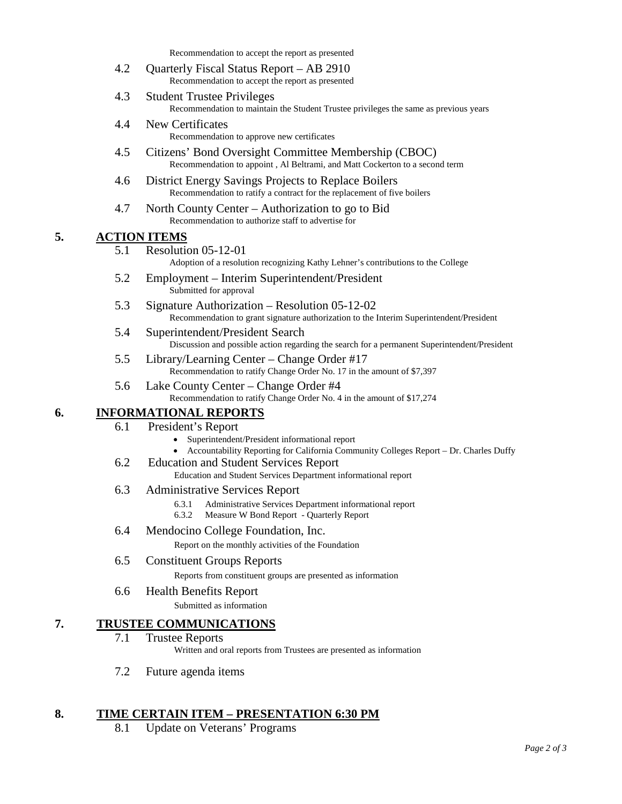Recommendation to accept the report as presented

- 4.2 Quarterly Fiscal Status Report AB 2910 Recommendation to accept the report as presented
- 4.3 Student Trustee Privileges Recommendation to maintain the Student Trustee privileges the same as previous years
- 4.4 New Certificates Recommendation to approve new certificates
- 4.5 Citizens' Bond Oversight Committee Membership (CBOC) Recommendation to appoint , Al Beltrami, and Matt Cockerton to a second term
- 4.6 District Energy Savings Projects to Replace Boilers Recommendation to ratify a contract for the replacement of five boilers
- 4.7 North County Center Authorization to go to Bid Recommendation to authorize staff to advertise for

# **5. ACTION ITEMS**

- 5.1 Resolution 05-12-01
	- Adoption of a resolution recognizing Kathy Lehner's contributions to the College
- 5.2 Employment Interim Superintendent/President Submitted for approval
- 5.3 Signature Authorization Resolution 05-12-02 Recommendation to grant signature authorization to the Interim Superintendent/President
- 5.4 Superintendent/President Search Discussion and possible action regarding the search for a permanent Superintendent/President
- 5.5 Library/Learning Center Change Order #17 Recommendation to ratify Change Order No. 17 in the amount of \$7,397
- 5.6 Lake County Center Change Order #4 Recommendation to ratify Change Order No. 4 in the amount of \$17,274

# **6. INFORMATIONAL REPORTS**

- 6.1 President's Report
	- Superintendent/President informational report
	- Accountability Reporting for California Community Colleges Report Dr. Charles Duffy
- 6.2 Education and Student Services Report
	- Education and Student Services Department informational report
- 6.3 Administrative Services Report
	- 6.3.1 Administrative Services Department informational report 6.3.2 Measure W Bond Report Ouarterly Report
	- Measure W Bond Report Quarterly Report
- 6.4 Mendocino College Foundation, Inc.

Report on the monthly activities of the Foundation

6.5 Constituent Groups Reports

Reports from constituent groups are presented as information

6.6 Health Benefits Report

Submitted as information

# **7. TRUSTEE COMMUNICATIONS**

### 7.1 Trustee Reports

Written and oral reports from Trustees are presented as information

7.2 Future agenda items

# **8. TIME CERTAIN ITEM – PRESENTATION 6:30 PM**

8.1 Update on Veterans' Programs